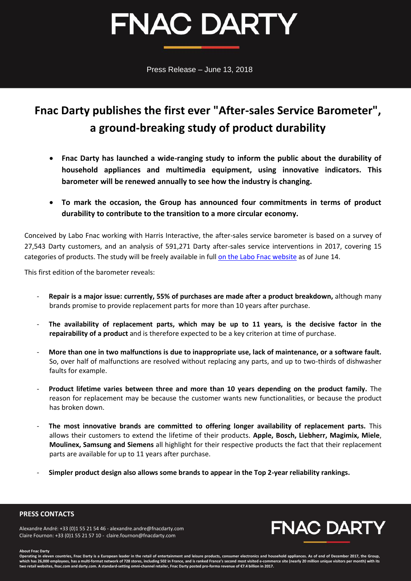# **FNAC DARTY**

Press Release – June 13, 2018

## **Fnac Darty publishes the first ever "After-sales Service Barometer", a ground-breaking study of product durability**

- **Fnac Darty has launched a wide-ranging study to inform the public about the durability of household appliances and multimedia equipment, using innovative indicators. This barometer will be renewed annually to see how the industry is changing.**
- **To mark the occasion, the Group has announced four commitments in terms of product durability to contribute to the transition to a more circular economy.**

Conceived by Labo Fnac working with Harris Interactive, the after-sales service barometer is based on a survey of 27,543 Darty customers, and an analysis of 591,271 Darty after-sales service interventions in 2017, covering 15 categories of products. The study will be freely available in full [on the Labo Fnac website](http://labo.fnac.com/) as of June 14.

This first edition of the barometer reveals:

- **Repair is a major issue: currently, 55% of purchases are made after a product breakdown,** although many brands promise to provide replacement parts for more than 10 years after purchase.
- The availability of replacement parts, which may be up to 11 years, is the decisive factor in the **repairability of a product** and is therefore expected to be a key criterion at time of purchase.
- **More than one in two malfunctions is due to inappropriate use, lack of maintenance, or a software fault.**  So, over half of malfunctions are resolved without replacing any parts, and up to two-thirds of dishwasher faults for example.
- **Product lifetime varies between three and more than 10 years depending on the product family.** The reason for replacement may be because the customer wants new functionalities, or because the product has broken down.
- **The most innovative brands are committed to offering longer availability of replacement parts.** This allows their customers to extend the lifetime of their products. **Apple, Bosch, Liebherr, Magimix, Miele**, **Moulinex, Samsung and Siemens** all highlight for their respective products the fact that their replacement parts are available for up to 11 years after purchase.
- **Simpler product design also allows some brands to appear in the Top 2-year reliability rankings.**

### **PRESS CONTACTS**

Alexandre André: +33 (0)1 55 21 54 46 - [alexandre.andre@fnacdarty.com](mailto:alexandre.andre@fnacdarty.com) Claire Fournon: +33 (0)1 55 21 57 10 - [claire.fournon@fnacdarty.com](mailto:claire.fournon@fnacdarty.com)



#### **About Fnac Darty**

Operating in eleven countries, Fnac Darty is a European leader in the retail of entertainment and leisure products, consumer electronics and household appliances. As of end of December 2017, the Group which has 26,000 employees, has a multi-format network of 728 stores, including 502 in France, and is ranked France's second most visited e-commerce site (nearly 20 million unique visitors per month) with its<br>two retail w